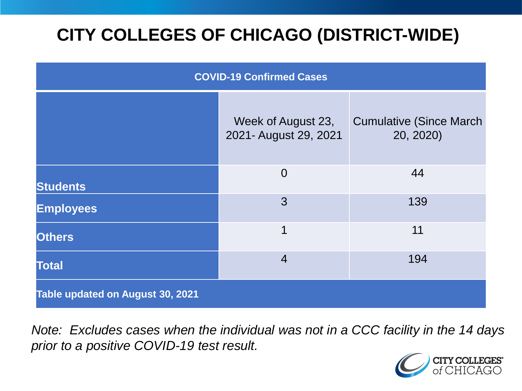# **CITY COLLEGES OF CHICAGO (DISTRICT-WIDE)**

| <b>COVID-19 Confirmed Cases</b>  |                                             |                                              |
|----------------------------------|---------------------------------------------|----------------------------------------------|
|                                  | Week of August 23,<br>2021- August 29, 2021 | <b>Cumulative (Since March)</b><br>20, 2020) |
| <b>Students</b>                  | $\overline{0}$                              | 44                                           |
| <b>Employees</b>                 | 3                                           | 139                                          |
| <b>Others</b>                    | 1                                           | 11                                           |
| <b>Total</b>                     | $\overline{4}$                              | 194                                          |
| Table updated on August 30, 2021 |                                             |                                              |

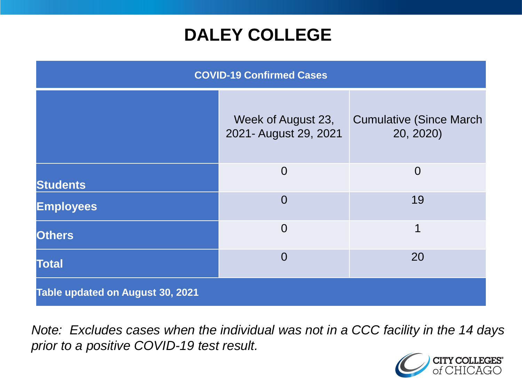### **DALEY COLLEGE**

| <b>COVID-19 Confirmed Cases</b>  |                                             |                                              |
|----------------------------------|---------------------------------------------|----------------------------------------------|
|                                  | Week of August 23,<br>2021- August 29, 2021 | <b>Cumulative (Since March)</b><br>20, 2020) |
| <b>Students</b>                  | $\overline{0}$                              | $\overline{0}$                               |
| <b>Employees</b>                 | $\overline{0}$                              | 19                                           |
| <b>Others</b>                    | $\overline{0}$                              | 1                                            |
| <b>Total</b>                     | $\overline{0}$                              | 20                                           |
| Table updated on August 30, 2021 |                                             |                                              |

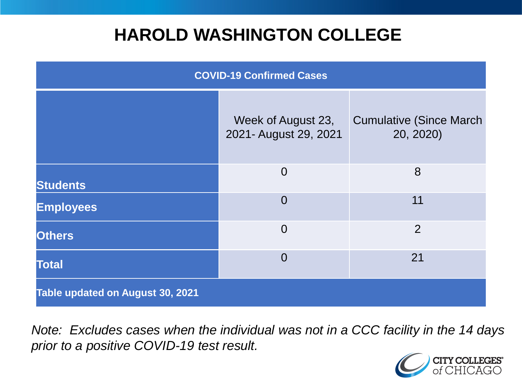### **HAROLD WASHINGTON COLLEGE**

| <b>COVID-19 Confirmed Cases</b>  |                                             |                                              |
|----------------------------------|---------------------------------------------|----------------------------------------------|
|                                  | Week of August 23,<br>2021- August 29, 2021 | <b>Cumulative (Since March)</b><br>20, 2020) |
| <b>Students</b>                  | $\overline{0}$                              | 8                                            |
| <b>Employees</b>                 | $\Omega$                                    | 11                                           |
| <b>Others</b>                    | $\overline{0}$                              | $\overline{2}$                               |
| <b>Total</b>                     | $\Omega$                                    | 21                                           |
| Table updated on August 30, 2021 |                                             |                                              |

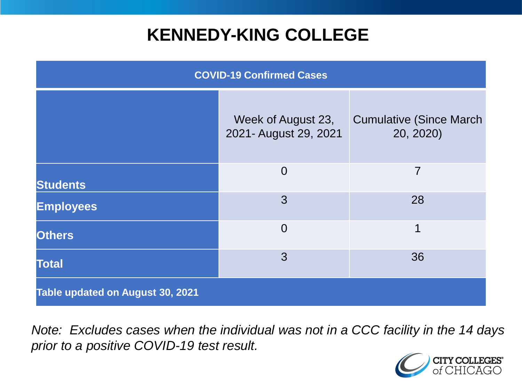### **KENNEDY-KING COLLEGE**

| <b>COVID-19 Confirmed Cases</b>  |                                             |                                              |
|----------------------------------|---------------------------------------------|----------------------------------------------|
|                                  | Week of August 23,<br>2021- August 29, 2021 | <b>Cumulative (Since March)</b><br>20, 2020) |
| <b>Students</b>                  | $\overline{0}$                              | $\overline{7}$                               |
| <b>Employees</b>                 | 3                                           | 28                                           |
| <b>Others</b>                    | $\overline{0}$                              | 1                                            |
| <b>Total</b>                     | 3                                           | 36                                           |
| Table updated on August 30, 2021 |                                             |                                              |

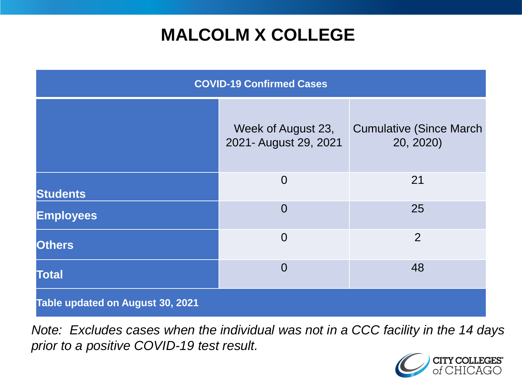# **MALCOLM X COLLEGE**

| <b>COVID-19 Confirmed Cases</b>  |                                             |                                              |
|----------------------------------|---------------------------------------------|----------------------------------------------|
|                                  | Week of August 23,<br>2021- August 29, 2021 | <b>Cumulative (Since March)</b><br>20, 2020) |
| <b>Students</b>                  | $\overline{0}$                              | 21                                           |
| <b>Employees</b>                 | $\overline{0}$                              | 25                                           |
| <b>Others</b>                    | $\overline{0}$                              | $\overline{2}$                               |
| <b>Total</b>                     | $\Omega$                                    | 48                                           |
| Table updated on August 30, 2021 |                                             |                                              |

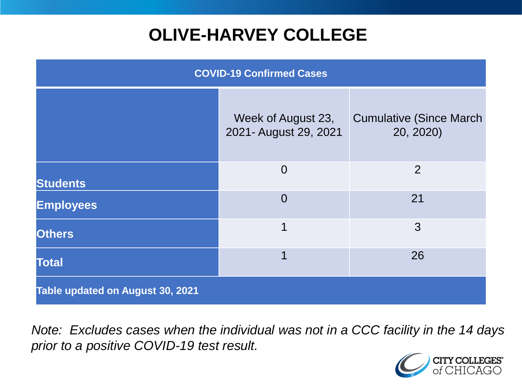# **OLIVE-HARVEY COLLEGE**

| <b>COVID-19 Confirmed Cases</b>  |                                             |                                              |
|----------------------------------|---------------------------------------------|----------------------------------------------|
|                                  | Week of August 23,<br>2021- August 29, 2021 | <b>Cumulative (Since March)</b><br>20, 2020) |
| <b>Students</b>                  | $\overline{0}$                              | 2                                            |
| <b>Employees</b>                 | $\overline{0}$                              | 21                                           |
| <b>Others</b>                    | 1                                           | 3                                            |
| <b>Total</b>                     | 1                                           | 26                                           |
| Table updated on August 30, 2021 |                                             |                                              |

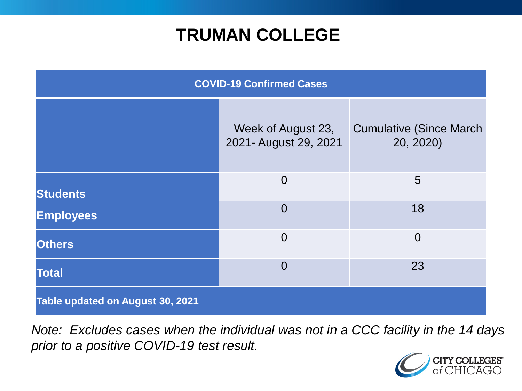### **TRUMAN COLLEGE**

| <b>COVID-19 Confirmed Cases</b>  |                                             |                                              |
|----------------------------------|---------------------------------------------|----------------------------------------------|
|                                  | Week of August 23,<br>2021- August 29, 2021 | <b>Cumulative (Since March)</b><br>20, 2020) |
| <b>Students</b>                  | $\overline{0}$                              | 5                                            |
| <b>Employees</b>                 | $\overline{0}$                              | 18                                           |
| <b>Others</b>                    | $\overline{0}$                              | $\overline{0}$                               |
| <b>Total</b>                     | $\overline{0}$                              | 23                                           |
| Table updated on August 30, 2021 |                                             |                                              |

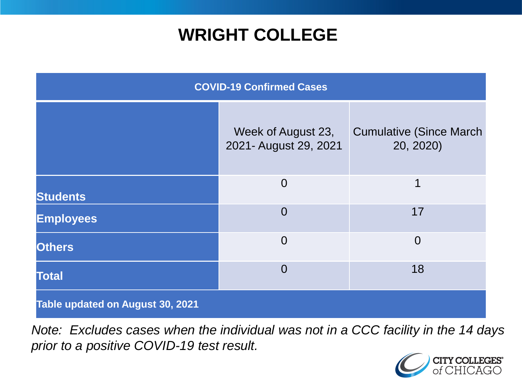### **WRIGHT COLLEGE**

| <b>COVID-19 Confirmed Cases</b>  |                                             |                                              |
|----------------------------------|---------------------------------------------|----------------------------------------------|
|                                  | Week of August 23,<br>2021- August 29, 2021 | <b>Cumulative (Since March)</b><br>20, 2020) |
| <b>Students</b>                  | $\overline{0}$                              | 1                                            |
| <b>Employees</b>                 | $\overline{0}$                              | 17                                           |
| <b>Others</b>                    | $\overline{0}$                              | $\overline{0}$                               |
| <b>Total</b>                     | $\overline{0}$                              | 18                                           |
| Table updated on August 30, 2021 |                                             |                                              |